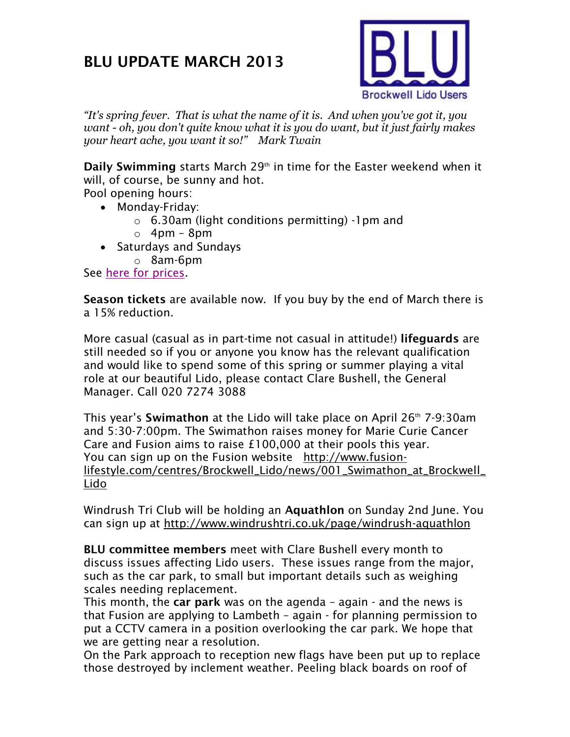## **BLU UPDATE MARCH 2013**



*"It's spring fever. That is what the name of it is. And when you've got it, you want - oh, you don't quite know what it is you do want, but it just fairly makes your heart ache, you want it so!" Mark Twain*

**Daily Swimming** starts March 29<sup>th</sup> in time for the Easter weekend when it will, of course, be sunny and hot.

Pool opening hours:

- Monday-Friday:
	- o 6.30am (light conditions permitting) -1pm and
	- $\circ$  4pm 8pm
- Saturdays and Sundays
	- o 8am-6pm

See [here for prices.](http://www.fusion-lifestyle.com/cms_uploads/file/Brockwell/2013/F_BRO_02392_Price_list_WR.PDF)

**Season tickets** are available now. If you buy by the end of March there is a 15% reduction.

More casual (casual as in part-time not casual in attitude!) **lifeguards** are still needed so if you or anyone you know has the relevant qualification and would like to spend some of this spring or summer playing a vital role at our beautiful Lido, please contact Clare Bushell, the General Manager. Call 020 7274 3088

This year's **Swimathon** at the Lido will take place on April 26th 7-9:30am and 5:30-7:00pm. The Swimathon raises money for Marie Curie Cancer Care and Fusion aims to raise £100,000 at their pools this year. You can sign up on the Fusion website [http://www.fusion](http://www.fusion-lifestyle.com/centres/Brockwell_Lido/news/001_Swimathon_at_Brockwell_Lido)[lifestyle.com/centres/Brockwell\\_Lido/news/001\\_Swimathon\\_at\\_Brockwell\\_](http://www.fusion-lifestyle.com/centres/Brockwell_Lido/news/001_Swimathon_at_Brockwell_Lido) [Lido](http://www.fusion-lifestyle.com/centres/Brockwell_Lido/news/001_Swimathon_at_Brockwell_Lido)

Windrush Tri Club will be holding an **Aquathlon** on Sunday 2nd June. You can sign up at<http://www.windrushtri.co.uk/page/windrush-aquathlon>

**BLU committee members** meet with Clare Bushell every month to discuss issues affecting Lido users. These issues range from the major, such as the car park, to small but important details such as weighing scales needing replacement.

This month, the **car park** was on the agenda – again - and the news is that Fusion are applying to Lambeth – again - for planning permission to put a CCTV camera in a position overlooking the car park. We hope that we are getting near a resolution.

On the Park approach to reception new flags have been put up to replace those destroyed by inclement weather. Peeling black boards on roof of